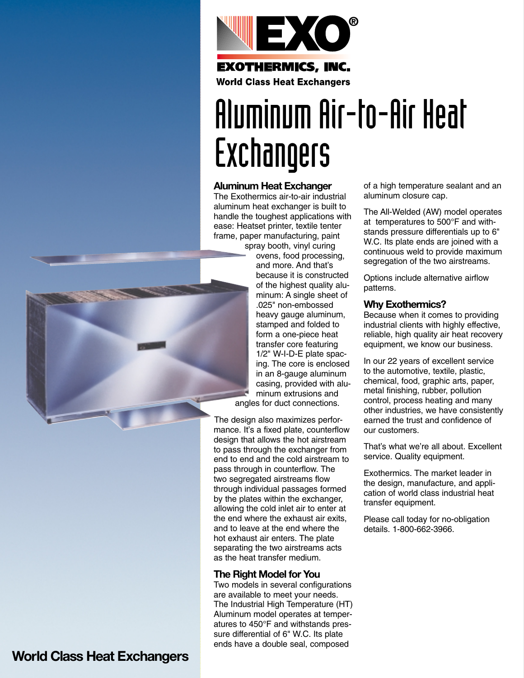

# Aluminum Air-to-Air Heat Exchangers

#### **Aluminum Heat Exchanger**

The Exothermics air-to-air industrial aluminum heat exchanger is built to handle the toughest applications with ease: Heatset printer, textile tenter frame, paper manufacturing, paint

spray booth, vinyl curing ovens, food processing, and more. And that's because it is constructed of the highest quality aluminum: A single sheet of .025" non-embossed heavy gauge aluminum, stamped and folded to form a one-piece heat transfer core featuring 1/2" W-I-D-E plate spacing. The core is enclosed in an 8-gauge aluminum casing, provided with aluminum extrusions and angles for duct connections.

The design also maximizes performance. It's a fixed plate, counterflow design that allows the hot airstream to pass through the exchanger from end to end and the cold airstream to pass through in counterflow. The two segregated airstreams flow through individual passages formed by the plates within the exchanger, allowing the cold inlet air to enter at the end where the exhaust air exits, and to leave at the end where the hot exhaust air enters. The plate separating the two airstreams acts as the heat transfer medium.

#### **The Right Model for You**

Two models in several configurations are available to meet your needs. The Industrial High Temperature (HT) Aluminum model operates at temperatures to 450°F and withstands pressure differential of 6" W.C. Its plate ends have a double seal, composed

of a high temperature sealant and an aluminum closure cap.

The All-Welded (AW) model operates at temperatures to 500°F and withstands pressure differentials up to 6" W.C. Its plate ends are joined with a continuous weld to provide maximum segregation of the two airstreams.

Options include alternative airflow patterns.

#### **Why Exothermics?**

Because when it comes to providing industrial clients with highly effective, reliable, high quality air heat recovery equipment, we know our business.

In our 22 years of excellent service to the automotive, textile, plastic, chemical, food, graphic arts, paper, metal finishing, rubber, pollution control, process heating and many other industries, we have consistently earned the trust and confidence of our customers.

That's what we're all about. Excellent service. Quality equipment.

Exothermics. The market leader in the design, manufacture, and application of world class industrial heat transfer equipment.

Please call today for no-obligation details. 1-800-662-3966.



### **World Class Heat Exchangers**